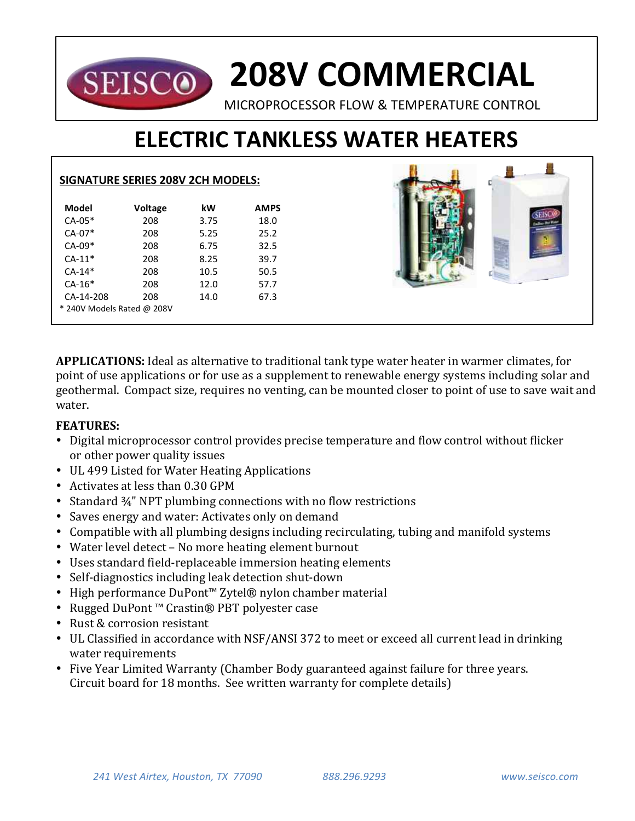## **208V COMMERCIAL SEISCO** MICROPROCESSOR FLOW & TEMPERATURE CONTROL

# **ELECTRIC TANKLESS WATER HEATERS**

81 61

|                            | <b>SIGNATURE SERIES 208V 2CH MODELS:</b> |      |             |  |
|----------------------------|------------------------------------------|------|-------------|--|
| <b>Model</b>               | Voltage                                  | kW   | <b>AMPS</b> |  |
| $CA-05*$                   | 208                                      | 3.75 | 18.0        |  |
| CA-07*                     | 208                                      | 5.25 | 25.2        |  |
| $CA-09*$                   | 208                                      | 6.75 | 32.5        |  |
| $CA-11*$                   | 208                                      | 8.25 | 39.7        |  |
| $CA-14*$                   | 208                                      | 10.5 | 50.5        |  |
| $CA-16*$                   | 208                                      | 12.0 | 57.7        |  |
| CA-14-208                  | 208                                      | 14.0 | 67.3        |  |
| * 240V Models Rated @ 208V |                                          |      |             |  |

**APPLICATIONS:** Ideal as alternative to traditional tank type water heater in warmer climates, for point of use applications or for use as a supplement to renewable energy systems including solar and geothermal. Compact size, requires no venting, can be mounted closer to point of use to save wait and water.

### **FEATURES:**

- Digital microprocessor control provides precise temperature and flow control without flicker or other power quality issues
- UL 499 Listed for Water Heating Applications
- Activates at less than 0.30 GPM
- Standard  $\frac{3}{4}$ " NPT plumbing connections with no flow restrictions
- Saves energy and water: Activates only on demand
- Compatible with all plumbing designs including recirculating, tubing and manifold systems
- Water level detect No more heating element burnout
- Uses standard field-replaceable immersion heating elements
- Self-diagnostics including leak detection shut-down
- High performance DuPont™ Zytel® nylon chamber material
- Rugged DuPont™ Crastin® PBT polyester case
- Rust & corrosion resistant
- UL Classified in accordance with NSF/ANSI 372 to meet or exceed all current lead in drinking water requirements
- Five Year Limited Warranty (Chamber Body guaranteed against failure for three years. Circuit board for 18 months. See written warranty for complete details)